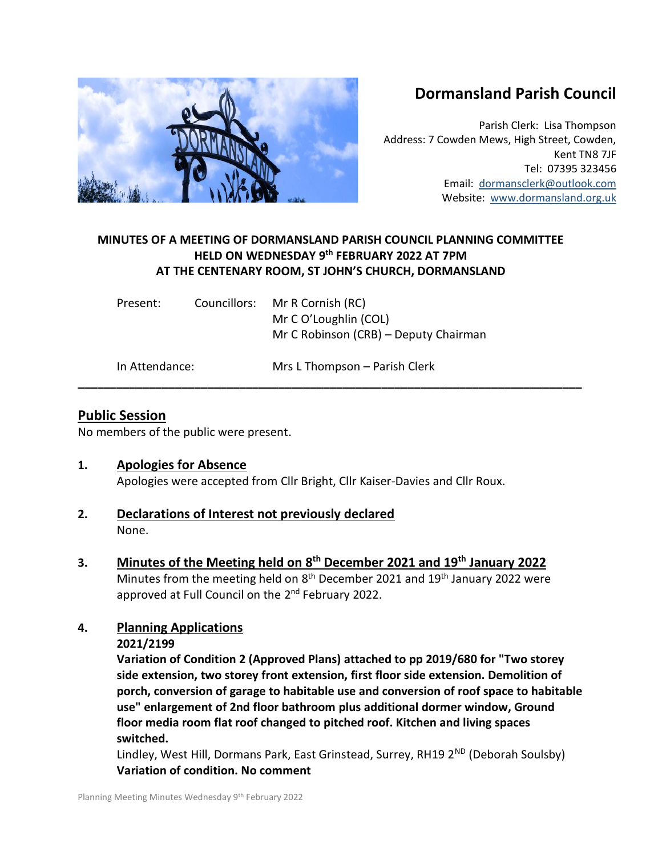# **Dormansland Parish Council**

Parish Clerk: Lisa Thompson Address: 7 Cowden Mews, High Street, Cowden, Kent TN8 7JF Tel: 07395 323456 Email: [dormansclerk@outlook.com](mailto:dormansclerk@outlook.com) Website: [www.dormansland.org.uk](http://www.dormansland.org.uk/)

# **MINUTES OF A MEETING OF DORMANSLAND PARISH COUNCIL PLANNING COMMITTEE HELD ON WEDNESDAY 9 th FEBRUARY 2022 AT 7PM AT THE CENTENARY ROOM, ST JOHN'S CHURCH, DORMANSLAND**

**\_\_\_\_\_\_\_\_\_\_\_\_\_\_\_\_\_\_\_\_\_\_\_\_\_\_\_\_\_\_\_\_\_\_\_\_\_\_\_\_\_\_\_\_\_\_\_\_\_\_\_\_\_\_\_\_\_\_\_\_\_\_\_\_\_\_\_\_\_\_\_\_\_\_\_\_\_\_**

| Present:       |  | Councillors: Mr R Cornish (RC)<br>Mr C O'Loughlin (COL)<br>Mr C Robinson (CRB) – Deputy Chairman |
|----------------|--|--------------------------------------------------------------------------------------------------|
| In Attendance: |  | Mrs L Thompson – Parish Clerk                                                                    |

## **Public Session**

No members of the public were present.

## **1. Apologies for Absence**

Apologies were accepted from Cllr Bright, Cllr Kaiser-Davies and Cllr Roux.

- **2. Declarations of Interest not previously declared** None.
- **3. Minutes of the Meeting held on 8 th December 2021 and 19th January 2022** Minutes from the meeting held on 8<sup>th</sup> December 2021 and 19<sup>th</sup> January 2022 were approved at Full Council on the 2<sup>nd</sup> February 2022.

## **4. Planning Applications**

## **2021/2199**

**Variation of Condition 2 (Approved Plans) attached to pp 2019/680 for "Two storey side extension, two storey front extension, first floor side extension. Demolition of porch, conversion of garage to habitable use and conversion of roof space to habitable use" enlargement of 2nd floor bathroom plus additional dormer window, Ground floor media room flat roof changed to pitched roof. Kitchen and living spaces switched.**

Lindley, West Hill, Dormans Park, East Grinstead, Surrey, RH19 2<sup>ND</sup> (Deborah Soulsby) **Variation of condition. No comment**